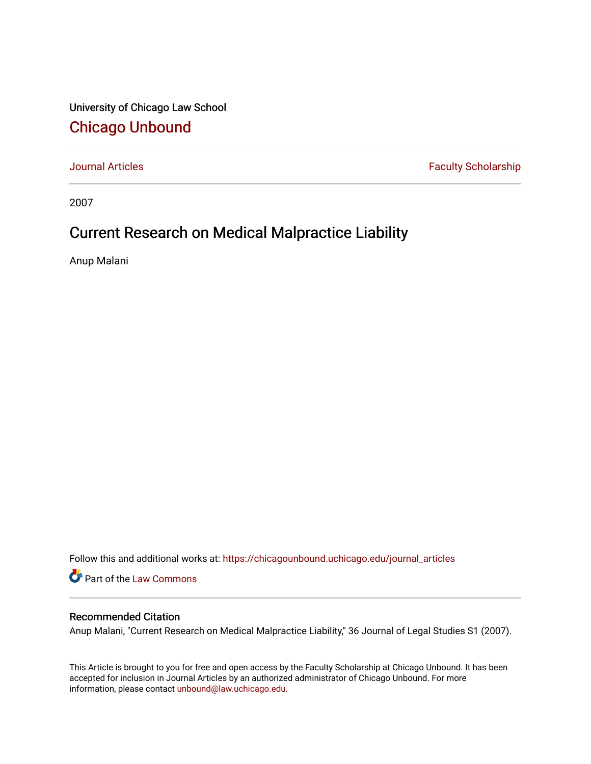University of Chicago Law School [Chicago Unbound](https://chicagounbound.uchicago.edu/)

[Journal Articles](https://chicagounbound.uchicago.edu/journal_articles) **Faculty Scholarship Faculty Scholarship** 

2007

# Current Research on Medical Malpractice Liability

Anup Malani

Follow this and additional works at: [https://chicagounbound.uchicago.edu/journal\\_articles](https://chicagounbound.uchicago.edu/journal_articles?utm_source=chicagounbound.uchicago.edu%2Fjournal_articles%2F10041&utm_medium=PDF&utm_campaign=PDFCoverPages) 

Part of the [Law Commons](http://network.bepress.com/hgg/discipline/578?utm_source=chicagounbound.uchicago.edu%2Fjournal_articles%2F10041&utm_medium=PDF&utm_campaign=PDFCoverPages)

## Recommended Citation

Anup Malani, "Current Research on Medical Malpractice Liability," 36 Journal of Legal Studies S1 (2007).

This Article is brought to you for free and open access by the Faculty Scholarship at Chicago Unbound. It has been accepted for inclusion in Journal Articles by an authorized administrator of Chicago Unbound. For more information, please contact [unbound@law.uchicago.edu](mailto:unbound@law.uchicago.edu).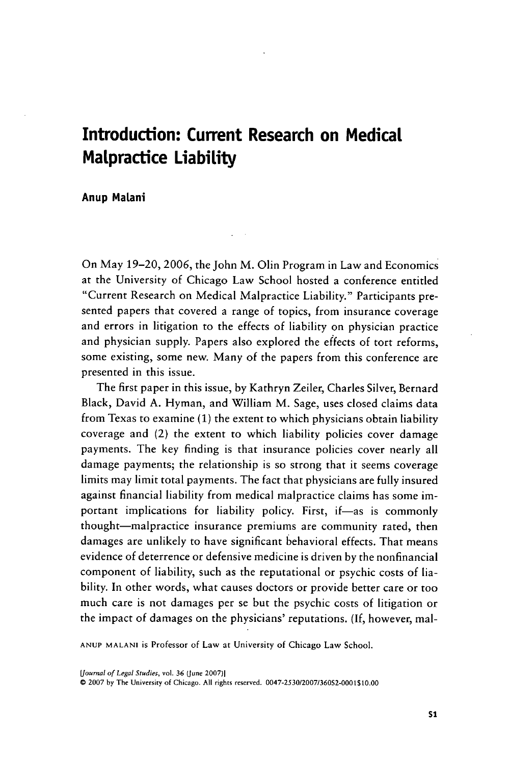# **Introduction: Current Research on Medical Malpractice Liability**

### **Anup Matani**

On May 19-20, 2006, the John M. Olin Program in Law and Economics at the University of Chicago Law School hosted a conference entitled "Current Research on Medical Malpractice Liability." Participants presented papers that covered a range of topics, from insurance coverage and errors in litigation to the effects of liability on physician practice and physician supply. Papers also explored the effects of tort reforms, some existing, some new. Many of the papers from this conference are presented in this issue.

The first paper in this issue, by Kathryn Zeiler, Charles Silver, Bernard Black, David A. Hyman, and William M. Sage, uses closed claims data from Texas to examine (1) the extent to which physicians obtain liability coverage and (2) the extent to which liability policies cover damage payments. The key finding is that insurance policies cover nearly all damage payments; the relationship is so strong that it seems coverage limits may limit total payments. The fact that physicians are fully insured against financial liability from medical malpractice claims has some important implications for liability policy. First, if-as is commonly thought-malpractice insurance premiums are community rated, then damages are unlikely to have significant behavioral effects. That means evidence of deterrence or defensive medicine is driven by the nonfinancial component of liability, such as the reputational or psychic costs of liability. In other words, what causes doctors or provide better care or too much care is not damages per se but the psychic costs of litigation or the impact of damages on the physicians' reputations. (If, however, mal-

**ANUP MALANI** is Professor of Law at University of Chicago Law School.

**0 2007 by** The University **of** Chicago. **All** rights reserved. 0047-253012007/360S2-0001510.00

**U[ournal of** Legal Studies, vol. **36 (June 2007)]**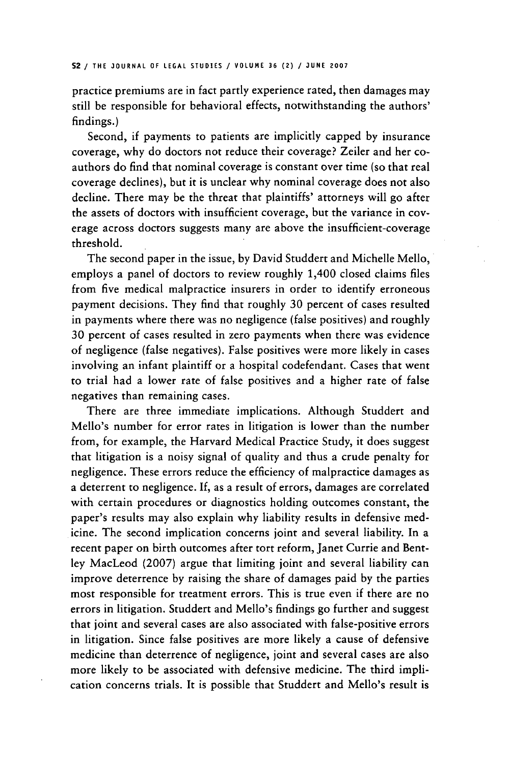practice premiums are in fact partly experience rated, then damages may still be responsible for behavioral effects, notwithstanding the authors' findings.)

Second, if payments to patients are implicitly capped by insurance coverage, why do doctors not reduce their coverage? Zeiler and her coauthors do find that nominal coverage is constant over time (so that real coverage declines), but it is unclear why nominal coverage does not also decline. There may be the threat that plaintiffs' attorneys will go after the assets of doctors with insufficient coverage, but the variance in coverage across doctors suggests many are above the insufficient-coverage threshold.

The second paper in the issue, by David Studdert and Michelle Mello, employs a panel of doctors to review roughly 1,400 closed claims files from five medical malpractice insurers in order to identify erroneous payment decisions. They find that roughly 30 percent of cases resulted in payments where there was no negligence (false positives) and roughly 30 percent of cases resulted in zero payments when there was evidence of negligence (false negatives). False positives were more likely in cases involving an infant plaintiff or a hospital codefendant. Cases that went to trial had a lower rate of false positives and a higher rate of false negatives than remaining cases.

There are three immediate implications. Although Studdert and Mello's number for error rates in litigation is lower than the number from, for example, the Harvard Medical Practice Study, it does suggest that litigation is a noisy signal of quality and thus a crude penalty for negligence. These errors reduce the efficiency of malpractice damages as a deterrent to negligence. If, as a result of errors, damages are correlated with certain procedures or diagnostics holding outcomes constant, the paper's results may also explain why liability results in defensive medicine. The second implication concerns joint and several liability. In a recent paper on birth outcomes after tort reform, Janet Currie and Bentley MacLeod (2007) argue that limiting joint and several liability can improve deterrence by raising the share of damages paid by the parties most responsible for treatment errors. This is true even if there are no errors in litigation. Studdert and Mello's findings go further and suggest that joint and several cases are also associated with false-positive errors in litigation. Since false positives are more likely a cause of defensive medicine than deterrence of negligence, joint and several cases are also more likely to be associated with defensive medicine. The third implication concerns trials. It is possible that Studdert and Mello's result is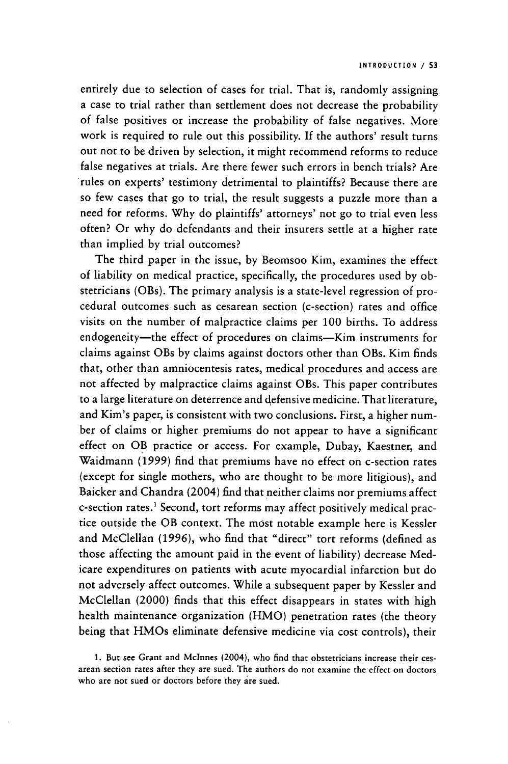entirely due to selection of cases for trial. That is, randomly assigning a case to trial rather than settlement does not decrease the probability of false positives or increase the probability of false negatives. More work is required to rule out this possibility. If the authors' result turns out not to be driven by selection, it might recommend reforms to reduce false negatives at trials. Are there fewer such errors in bench trials? Are rules on experts' testimony detrimental to plaintiffs? Because there are so few cases that go to trial, the result suggests a puzzle more than a need for reforms. Why do plaintiffs' attorneys' not go to trial even less often? Or why do defendants and their insurers settle at a higher rate than implied by trial outcomes?

The third paper in the issue, by Beomsoo Kim, examines the effect of liability on medical practice, specifically, the procedures used by obstetricians (OBs). The primary analysis is a state-level regression of procedural outcomes such as cesarean section (c-section) rates and office visits on the number of malpractice claims per 100 births. To address endogeneity-the effect of procedures on claims-Kim instruments for claims against OBs by claims against doctors other than OBs. Kim finds that, other than amniocentesis rates, medical procedures and access are not affected by malpractice claims against OBs. This paper contributes to a large literature on deterrence and defensive medicine. That literature, and Kim's paper, is consistent with two conclusions. First, a higher number of claims or higher premiums do not appear to have a significant effect on OB practice or access. For example, Dubay, Kaestner, and Waidmann (1999) find that premiums have no effect on c-section rates (except for single mothers, who are thought to be more litigious), and Baicker and Chandra (2004) find that neither claims nor premiums affect c-section rates.<sup>1</sup> Second, tort reforms may affect positively medical practice outside the OB context. The most notable example here is Kessler and McClellan (1996), who find that "direct" tort reforms (defined as those affecting the amount paid in the event of liability) decrease Medicare expenditures on patients with acute myocardial infarction but do not adversely affect outcomes. While a subsequent paper by Kessler and McClellan (2000) finds that this effect disappears in states with high health maintenance organization (HMO) penetration rates (the theory being that HMOs eliminate defensive medicine via cost controls), their

**<sup>1.</sup>** But see Grant and Mclnnes (2004), who find that obstetricians increase their cesarean section rates after they are sued. The authors do not examine the effect on doctors who are not sued or doctors before they are sued.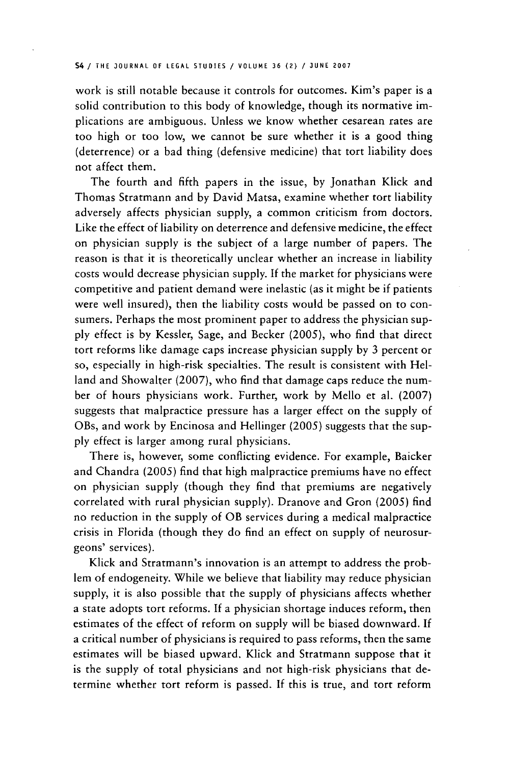#### **S4 / THE JOURNAL OF LEGAL STUDIES / VOLUME 36 (2) / JUNE 2007**

work is still notable because it controls for outcomes. Kim's paper is a solid contribution to this body of knowledge, though its normative implications are ambiguous. Unless we know whether cesarean rates are too high or too low, we cannot be sure whether it is a good thing (deterrence) or a bad thing (defensive medicine) that tort liability does not affect them.

The fourth and fifth papers in the issue, by Jonathan Klick and Thomas Stratmann and by David Matsa, examine whether tort liability adversely affects physician supply, a common criticism from doctors. Like the effect of liability on deterrence and defensive medicine, the effect on physician supply is the subject of a large number of papers. The reason is that it is theoretically unclear whether an increase in liability costs would decrease physician supply. If the market for physicians were competitive and patient demand were inelastic (as it might be if patients were well insured), then the liability costs would be passed on to consumers. Perhaps the most prominent paper to address the physician supply effect is by Kessler, Sage, and Becker (2005), who find that direct tort reforms like damage caps increase physician supply by 3 percent or so, especially in high-risk specialties. The result is consistent with Helland and Showalter (2007), who find that damage caps reduce the number of hours physicians work. Further, work by Mello et al. (2007) suggests that malpractice pressure has a larger effect on the supply of OBs, and work by Encinosa and Hellinger (2005) suggests that the supply effect is larger among rural physicians.

There is, however, some conflicting evidence. For example, Baicker and Chandra (2005) find that high malpractice premiums have no effect on physician supply (though they find that premiums are negatively correlated with rural physician supply). Dranove and Gron (2005) find no reduction in the supply of OB services during a medical malpractice crisis in Florida (though they do find an effect on supply of neurosurgeons' services).

Klick and Stratmann's innovation is an attempt to address the problem of endogeneity. While we believe that liability may reduce physician supply, it is also possible that the supply of physicians affects whether a state adopts tort reforms. If a physician shortage induces reform, then estimates of the effect of reform on supply will be biased downward. If a critical number of physicians is required to pass reforms, then the same estimates will be biased upward. Klick and Stratmann suppose that it is the supply of total physicians and not high-risk physicians that determine whether tort reform is passed. If this is true, and tort reform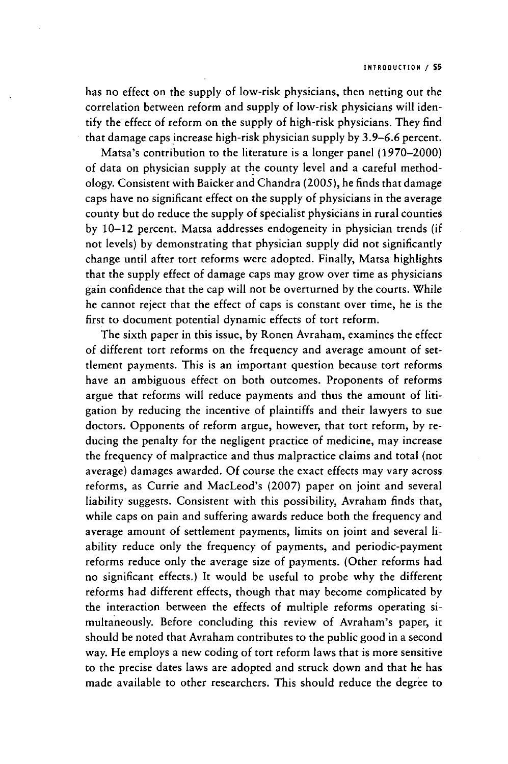has no effect on the supply of low-risk physicians, then netting out the correlation between reform and supply of low-risk physicians will identify the effect of reform on the supply of high-risk physicians. They find that damage caps increase high-risk physician supply by 3.9-6.6 percent.

Matsa's contribution to the literature is a longer panel (1970-2000) of data on physician supply at the county level and a careful methodology. Consistent with Baicker and Chandra (2005), he finds that damage caps have no significant effect on the supply of physicians in the average county but do reduce the supply of specialist physicians in rural counties by 10-12 percent. Matsa addresses endogeneity in physician trends (if not levels) by demonstrating that physician supply did not significantly change until after tort reforms were adopted. Finally, Matsa highlights that the supply effect of damage caps may grow over time as physicians gain confidence that the cap will not be overturned by the courts. While he cannot reject that the effect of caps is constant over time, he is the first to document potential dynamic effects of tort reform.

The sixth paper in this issue, by Ronen Avraham, examines the effect of different tort reforms on the frequency and average amount of settlement payments. This is an important question because tort reforms have an ambiguous effect on both outcomes. Proponents of reforms argue that reforms will reduce payments and thus the amount of litigation by reducing the incentive of plaintiffs and their lawyers to sue doctors. Opponents of reform argue, however, that tort reform, by reducing the penalty for the negligent practice of medicine, may increase the frequency of malpractice and thus malpractice claims and total (not average) damages awarded. Of course the exact effects may vary across reforms, as Currie and MacLeod's (2007) paper on joint and several liability suggests. Consistent with this possibility, Avraham finds that, while caps on pain and suffering awards reduce both the frequency and average amount of settlement payments, limits on joint and several liability reduce only the frequency of payments, and periodic-payment reforms reduce only the average size of payments. (Other reforms had no significant effects.) It would be useful to probe why the different reforms had different effects, though that may become complicated by the interaction between the effects of multiple reforms operating simultaneously. Before concluding this review of Avraham's paper, it should be noted that Avraham contributes to the public good in a second way. He employs a new coding of tort reform laws that is more sensitive to the precise dates laws are adopted and struck down and that he has made available to other researchers. This should reduce the degree to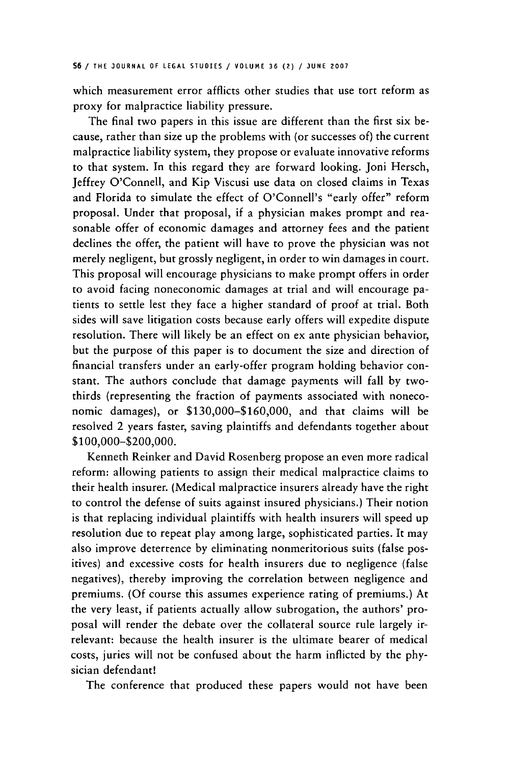which measurement error afflicts other studies that use tort reform as proxy for malpractice liability pressure.

The final two papers in this issue are different than the first six because, rather than size up the problems with (or successes of) the current malpractice liability system, they propose or evaluate innovative reforms to that system. In this regard they are forward looking. Joni Hersch, Jeffrey O'Connell, and Kip Viscusi use data on closed claims in Texas and Florida to simulate the effect of O'Connell's "early offer" reform proposal. Under that proposal, if a physician makes prompt and reasonable offer of economic damages and attorney fees and the patient declines the offer, the patient will have to prove the physician was not merely negligent, but grossly negligent, in order to win damages in court. This proposal will encourage physicians to make prompt offers in order to avoid facing noneconomic damages at trial and will encourage patients to settle lest they face a higher standard of proof at trial. Both sides will save litigation costs because early offers will expedite dispute resolution. There will likely be an effect on ex ante physician behavior, but the purpose of this paper is to document the size and direction of financial transfers under an early-offer program holding behavior constant. The authors conclude that damage payments will fall by twothirds (representing the fraction of payments associated with noneconomic damages), or \$130,000-\$160,000, and that claims will be resolved 2 years faster, saving plaintiffs and defendants together about \$100,000-\$200,000.

Kenneth Reinker and David Rosenberg propose an even more radical reform: allowing patients to assign their medical malpractice claims to their health insurer. (Medical malpractice insurers already have the right to control the defense of suits against insured physicians.) Their notion is that replacing individual plaintiffs with health insurers will speed up resolution due to repeat play among large, sophisticated parties. It may also improve deterrence by eliminating nonmeritorious suits (false positives) and excessive costs for health insurers due to negligence (false negatives), thereby improving the correlation between negligence and premiums. **(Of** course this assumes experience rating of premiums.) At the very least, if patients actually allow subrogation, the authors' proposal will render the debate over the collateral source rule largely irrelevant: because the health insurer is the ultimate bearer of medical costs, juries will not be confused about the harm inflicted by the physician defendant!

The conference that produced these papers would not have been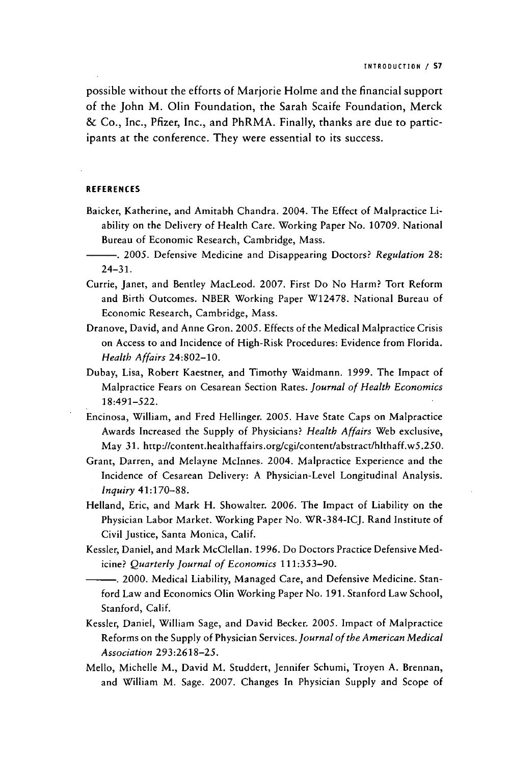possible without the efforts of Marjorie Holme and the financial support of the John M. Olin Foundation, the Sarah Scaife Foundation, Merck & Co., Inc., Pfizer, Inc., and PhRMA. Finally, thanks are due to participants at the conference. They were essential to its success.

#### **REFERENCES**

- Baicker, Katherine, and Amitabh Chandra. 2004. The Effect of Malpractice Liability on the Delivery of Health Care. Working Paper No. 10709. National Bureau of Economic Research, Cambridge, Mass.
- **-** 2005. Defensive Medicine and Disappearing Doctors? *Regulation* 28: 24-31.
- Currie, Janet, and Bentley MacLeod. 2007. First Do No Harm? Tort Reform and Birth Outcomes. NBER Working Paper W12478. National Bureau of Economic Research, Cambridge, Mass.
- Dranove, David, and Anne Gron. 2005. Effects of the Medical Malpractice Crisis on Access to and Incidence of High-Risk Procedures: Evidence from Florida. *Health Affairs* 24:802-10.
- Dubay, Lisa, Robert Kaestner, and Timothy Waidmann. **1999.** The Impact of Malpractice Fears on Cesarean Section Rates. *Journal of Health Economics* 18:491-522.
- Encinosa, William, and Fred Hellinger. 2005. Have State Caps on Malpractice Awards Increased the Supply of Physicians? *Health Affairs* Web exclusive, May 31. http://content.healthaffairs.org/cgi/contentlabstract/hlthaff.w5.250.
- Grant, Darren, and Melayne McInnes. 2004. Malpractice Experience and the Incidence of Cesarean Delivery: A Physician-Level Longitudinal Analysis. *Inquiry* 41:170-88.
- Helland, Eric, and Mark H. Showalter. 2006. The Impact of Liability on the Physician Labor Market. Working Paper No. WR-384-ICJ. Rand Institute of Civil Justice, Santa Monica, Calif.
- Kessler, Daniel, and Mark McClellan. **1996.** Do Doctors Practice Defensive Medicine? *Quarterly Journal of Economics* 111:353-90.
	- **-** 2000. Medical Liability, Managed Care, and Defensive Medicine. Stanford Law and Economics Olin Working Paper No. 191. Stanford Law School, Stanford, Calif.
- Kessler, Daniel, William Sage, and David Becker. 2005. Impact of Malpractice Reforms on the Supply of Physician Services. *Journal of the American Medical Association* 293:2618-25.
- Mello, Michelle M., David M. Studdert, Jennifer Schumi, Troyen A. Brennan, and William M. Sage. 2007. Changes In Physician Supply and Scope of